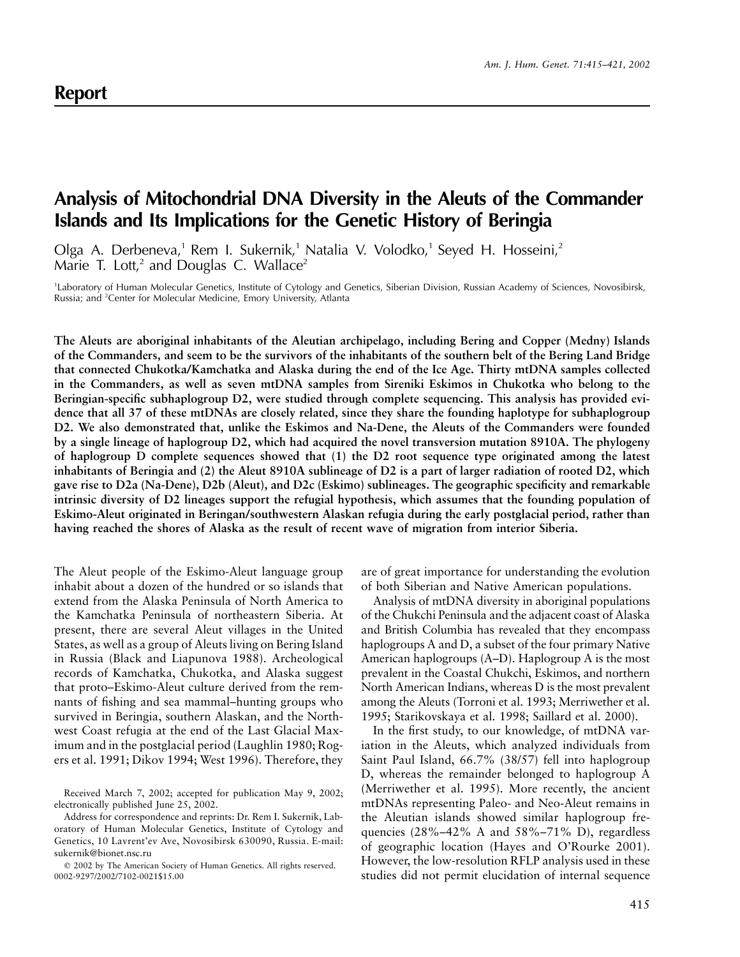## **Analysis of Mitochondrial DNA Diversity in the Aleuts of the Commander Islands and Its Implications for the Genetic History of Beringia**

Olga A. Derbeneva,<sup>1</sup> Rem I. Sukernik,<sup>1</sup> Natalia V. Volodko,<sup>1</sup> Seyed H. Hosseini,<sup>2</sup> Marie T. Lott,<sup>2</sup> and Douglas C. Wallace<sup>2</sup>

<sup>1</sup>Laboratory of Human Molecular Genetics, Institute of Cytology and Genetics, Siberian Division, Russian Academy of Sciences, Novosibirsk, Russia; and <sup>2</sup>Center for Molecular Medicine, Emory University, Atlanta

**The Aleuts are aboriginal inhabitants of the Aleutian archipelago, including Bering and Copper (Medny) Islands of the Commanders, and seem to be the survivors of the inhabitants of the southern belt of the Bering Land Bridge that connected Chukotka/Kamchatka and Alaska during the end of the Ice Age. Thirty mtDNA samples collected in the Commanders, as well as seven mtDNA samples from Sireniki Eskimos in Chukotka who belong to the Beringian-specific subhaplogroup D2, were studied through complete sequencing. This analysis has provided evidence that all 37 of these mtDNAs are closely related, since they share the founding haplotype for subhaplogroup D2. We also demonstrated that, unlike the Eskimos and Na-Dene, the Aleuts of the Commanders were founded by a single lineage of haplogroup D2, which had acquired the novel transversion mutation 8910A. The phylogeny of haplogroup D complete sequences showed that (1) the D2 root sequence type originated among the latest inhabitants of Beringia and (2) the Aleut 8910A sublineage of D2 is a part of larger radiation of rooted D2, which gave rise to D2a (Na-Dene), D2b (Aleut), and D2c (Eskimo) sublineages. The geographic specificity and remarkable intrinsic diversity of D2 lineages support the refugial hypothesis, which assumes that the founding population of Eskimo-Aleut originated in Beringan/southwestern Alaskan refugia during the early postglacial period, rather than having reached the shores of Alaska as the result of recent wave of migration from interior Siberia.**

The Aleut people of the Eskimo-Aleut language group inhabit about a dozen of the hundred or so islands that extend from the Alaska Peninsula of North America to the Kamchatka Peninsula of northeastern Siberia. At present, there are several Aleut villages in the United States, as well as a group of Aleuts living on Bering Island in Russia (Black and Liapunova 1988). Archeological records of Kamchatka, Chukotka, and Alaska suggest that proto–Eskimo-Aleut culture derived from the remnants of fishing and sea mammal–hunting groups who survived in Beringia, southern Alaskan, and the Northwest Coast refugia at the end of the Last Glacial Maximum and in the postglacial period (Laughlin 1980; Rogers et al. 1991; Dikov 1994; West 1996). Therefore, they

are of great importance for understanding the evolution of both Siberian and Native American populations.

Analysis of mtDNA diversity in aboriginal populations of the Chukchi Peninsula and the adjacent coast of Alaska and British Columbia has revealed that they encompass haplogroups A and D, a subset of the four primary Native American haplogroups (A–D). Haplogroup A is the most prevalent in the Coastal Chukchi, Eskimos, and northern North American Indians, whereas D is the most prevalent among the Aleuts (Torroni et al. 1993; Merriwether et al. 1995; Starikovskaya et al. 1998; Saillard et al. 2000).

In the first study, to our knowledge, of mtDNA variation in the Aleuts, which analyzed individuals from Saint Paul Island, 66.7% (38/57) fell into haplogroup D, whereas the remainder belonged to haplogroup A (Merriwether et al. 1995). More recently, the ancient mtDNAs representing Paleo- and Neo-Aleut remains in the Aleutian islands showed similar haplogroup frequencies  $(28\% - 42\%$  A and  $58\% - 71\%$  D), regardless of geographic location (Hayes and O'Rourke 2001). However, the low-resolution RFLP analysis used in these studies did not permit elucidation of internal sequence

Received March 7, 2002; accepted for publication May 9, 2002; electronically published June 25, 2002.

Address for correspondence and reprints: Dr. Rem I. Sukernik, Laboratory of Human Molecular Genetics, Institute of Cytology and Genetics, 10 Lavrent'ev Ave, Novosibirsk 630090, Russia. E-mail: sukernik@bionet.nsc.ru

2002 by The American Society of Human Genetics. All rights reserved. 0002-9297/2002/7102-0021\$15.00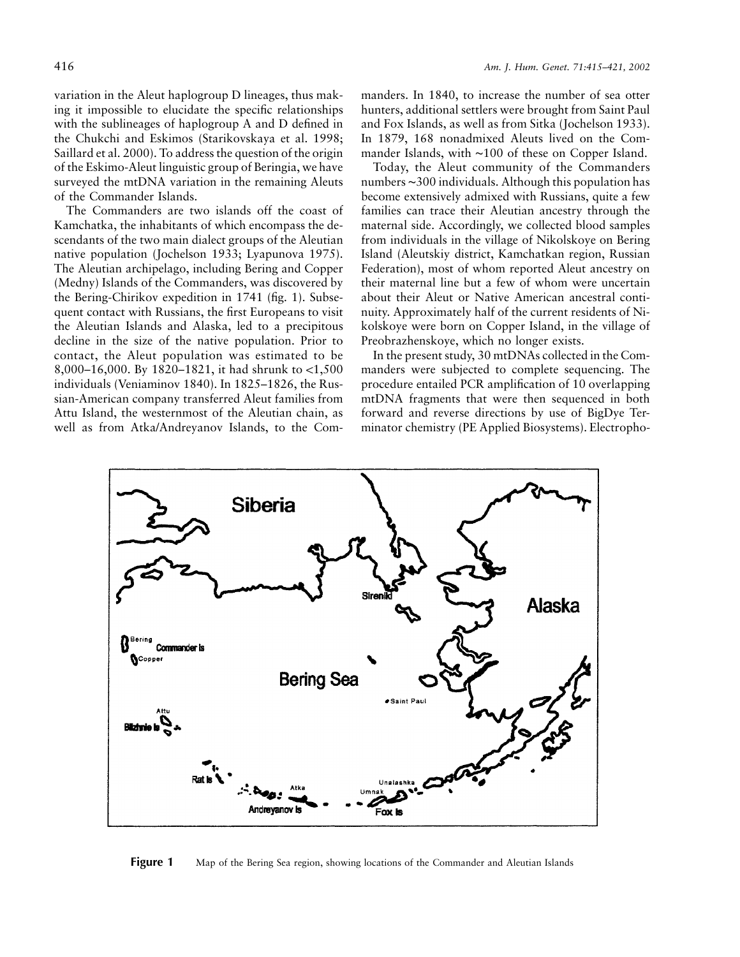variation in the Aleut haplogroup D lineages, thus making it impossible to elucidate the specific relationships with the sublineages of haplogroup A and D defined in the Chukchi and Eskimos (Starikovskaya et al. 1998; Saillard et al. 2000). To address the question of the origin of the Eskimo-Aleut linguistic group of Beringia, we have surveyed the mtDNA variation in the remaining Aleuts of the Commander Islands.

The Commanders are two islands off the coast of Kamchatka, the inhabitants of which encompass the descendants of the two main dialect groups of the Aleutian native population (Jochelson 1933; Lyapunova 1975). The Aleutian archipelago, including Bering and Copper (Medny) Islands of the Commanders, was discovered by the Bering-Chirikov expedition in 1741 (fig. 1). Subsequent contact with Russians, the first Europeans to visit the Aleutian Islands and Alaska, led to a precipitous decline in the size of the native population. Prior to contact, the Aleut population was estimated to be 8,000–16,000. By 1820–1821, it had shrunk to  $\lt 1,500$ individuals (Veniaminov 1840). In 1825–1826, the Russian-American company transferred Aleut families from Attu Island, the westernmost of the Aleutian chain, as well as from Atka/Andreyanov Islands, to the Com-

manders. In 1840, to increase the number of sea otter hunters, additional settlers were brought from Saint Paul and Fox Islands, as well as from Sitka (Jochelson 1933). In 1879, 168 nonadmixed Aleuts lived on the Commander Islands, with ∼100 of these on Copper Island.

Today, the Aleut community of the Commanders numbers ∼300 individuals. Although this population has become extensively admixed with Russians, quite a few families can trace their Aleutian ancestry through the maternal side. Accordingly, we collected blood samples from individuals in the village of Nikolskoye on Bering Island (Aleutskiy district, Kamchatkan region, Russian Federation), most of whom reported Aleut ancestry on their maternal line but a few of whom were uncertain about their Aleut or Native American ancestral continuity. Approximately half of the current residents of Nikolskoye were born on Copper Island, in the village of Preobrazhenskoye, which no longer exists.

In the present study, 30 mtDNAs collected in the Commanders were subjected to complete sequencing. The procedure entailed PCR amplification of 10 overlapping mtDNA fragments that were then sequenced in both forward and reverse directions by use of BigDye Terminator chemistry (PE Applied Biosystems). Electropho-



**Figure 1** Map of the Bering Sea region, showing locations of the Commander and Aleutian Islands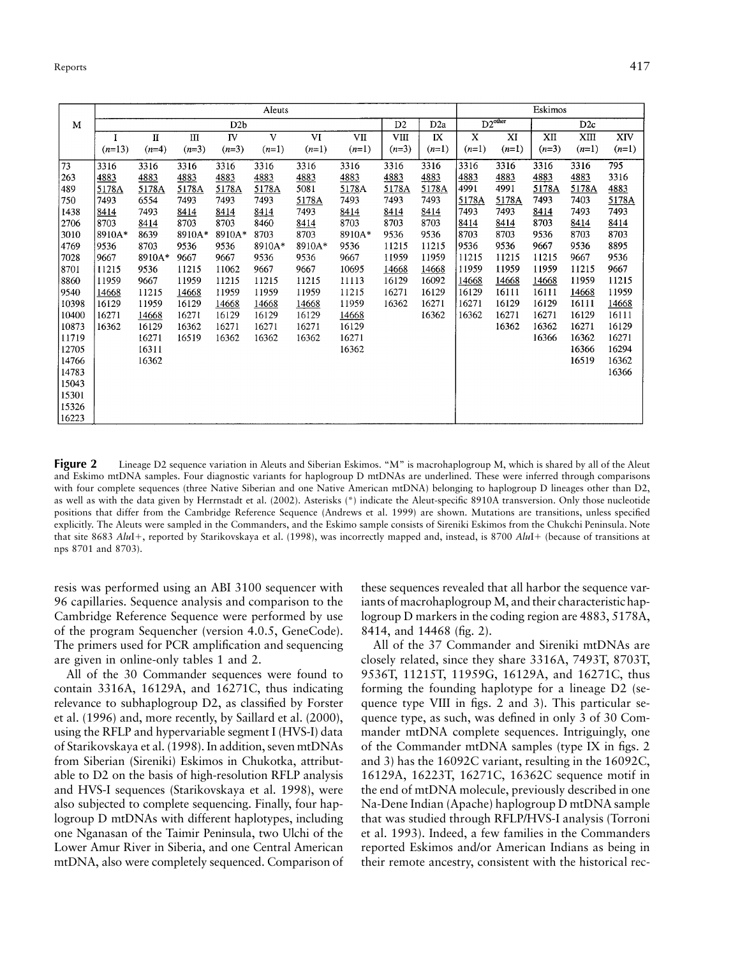|       | Aleuts   |         |         |           |         |         |         |                |                  | Eskimos             |         |                 |         |         |
|-------|----------|---------|---------|-----------|---------|---------|---------|----------------|------------------|---------------------|---------|-----------------|---------|---------|
| M     |          | D2b     |         |           |         |         |         | D <sub>2</sub> | D <sub>2</sub> a | $D2^{\text{other}}$ |         | D <sub>2c</sub> |         |         |
|       |          | П       | Ш       | <b>IV</b> | V       | VI      | VП      | VIII           | IX               | X                   | XI      | XII             | XШ      | XIV     |
|       | $(n=13)$ | $(n=4)$ | $(n=3)$ | $(n=3)$   | $(n=1)$ | $(n=1)$ | $(n=1)$ | $(n=3)$        | $(n=1)$          | $(n=1)$             | $(n=1)$ | $(n=3)$         | $(n=1)$ | $(n=1)$ |
| 73    | 3316     | 3316    | 3316    | 3316      | 3316    | 3316    | 3316    | 3316           | 3316             | 3316                | 3316    | 3316            | 3316    | 795     |
| 263   | 4883     | 4883    | 4883    | 4883      | 4883    | 4883    | 4883    | 4883           | 4883             | 4883                | 4883    | 4883            | 4883    | 3316    |
| 489   | 5178A    | 5178A   | 5178A   | 5178A     | 5178A   | 5081    | 5178A   | 5178A          | 5178A            | 4991                | 4991    | 5178A           | 5178A   | 4883    |
| 750   | 7493     | 6554    | 7493    | 7493      | 7493    | 5178A   | 7493    | 7493           | 7493             | 5178A               | 5178A   | 7493            | 7403    | 5178A   |
| 1438  | 8414     | 7493    | 8414    | 8414      | 8414    | 7493    | 8414    | 8414           | 8414             | 7493                | 7493    | 8414            | 7493    | 7493    |
| 2706  | 8703     | 8414    | 8703    | 8703      | 8460    | 8414    | 8703    | 8703           | 8703             | 8414                | 8414    | 8703            | 8414    | 8414    |
| 3010  | 8910A*   | 8639    | 8910A*  | 8910A*    | 8703    | 8703    | 8910A*  | 9536           | 9536             | 8703                | 8703    | 9536            | 8703    | 8703    |
| 4769  | 9536     | 8703    | 9536    | 9536      | 8910A*  | 8910A*  | 9536    | 11215          | 11215            | 9536                | 9536    | 9667            | 9536    | 8895    |
| 7028  | 9667     | 8910A*  | 9667    | 9667      | 9536    | 9536    | 9667    | 11959          | 11959            | 11215               | 11215   | 11215           | 9667    | 9536    |
| 8701  | 11215    | 9536    | 11215   | 11062     | 9667    | 9667    | 10695   | 14668          | 14668            | 11959               | 11959   | 11959           | 11215   | 9667    |
| 8860  | 11959    | 9667    | 11959   | 11215     | 11215   | 11215   | 11113   | 16129          | 16092            | 14668               | 14668   | 14668           | 11959   | 11215   |
| 9540  | 14668    | 11215   | 14668   | 11959     | 11959   | 11959   | 11215   | 16271          | 16129            | 16129               | 16111   | 16111           | 14668   | 11959   |
| 10398 | 16129    | 11959   | 16129   | 14668     | 14668   | 14668   | 11959   | 16362          | 16271            | 16271               | 16129   | 16129           | 16111   | 14668   |
| 10400 | 16271    | 14668   | 16271   | 16129     | 16129   | 16129   | 14668   |                | 16362            | 16362               | 16271   | 16271           | 16129   | 16111   |
| 10873 | 16362    | 16129   | 16362   | 16271     | 16271   | 16271   | 16129   |                |                  |                     | 16362   | 16362           | 16271   | 16129   |
| 11719 |          | 16271   | 16519   | 16362     | 16362   | 16362   | 16271   |                |                  |                     |         | 16366           | 16362   | 16271   |
| 12705 |          | 16311   |         |           |         |         | 16362   |                |                  |                     |         |                 | 16366   | 16294   |
| 14766 |          | 16362   |         |           |         |         |         |                |                  |                     |         |                 | 16519   | 16362   |
| 14783 |          |         |         |           |         |         |         |                |                  |                     |         |                 |         | 16366   |
| 15043 |          |         |         |           |         |         |         |                |                  |                     |         |                 |         |         |
| 15301 |          |         |         |           |         |         |         |                |                  |                     |         |                 |         |         |
| 15326 |          |         |         |           |         |         |         |                |                  |                     |         |                 |         |         |
| 16223 |          |         |         |           |         |         |         |                |                  |                     |         |                 |         |         |

**Figure 2** Lineage D2 sequence variation in Aleuts and Siberian Eskimos. "M" is macrohaplogroup M, which is shared by all of the Aleut and Eskimo mtDNA samples. Four diagnostic variants for haplogroup D mtDNAs are underlined. These were inferred through comparisons with four complete sequences (three Native Siberian and one Native American mtDNA) belonging to haplogroup D lineages other than D2, as well as with the data given by Herrnstadt et al. (2002). Asterisks (\*) indicate the Aleut-specific 8910A transversion. Only those nucleotide positions that differ from the Cambridge Reference Sequence (Andrews et al. 1999) are shown. Mutations are transitions, unless specified explicitly. The Aleuts were sampled in the Commanders, and the Eskimo sample consists of Sireniki Eskimos from the Chukchi Peninsula. Note that site 8683 AluI+, reported by Starikovskaya et al. (1998), was incorrectly mapped and, instead, is 8700 AluI+ (because of transitions at nps 8701 and 8703).

resis was performed using an ABI 3100 sequencer with 96 capillaries. Sequence analysis and comparison to the Cambridge Reference Sequence were performed by use of the program Sequencher (version 4.0.5, GeneCode). The primers used for PCR amplification and sequencing are given in online-only tables 1 and 2.

All of the 30 Commander sequences were found to contain 3316A, 16129A, and 16271C, thus indicating relevance to subhaplogroup D2, as classified by Forster et al. (1996) and, more recently, by Saillard et al. (2000), using the RFLP and hypervariable segment I (HVS-I) data of Starikovskaya et al. (1998). In addition, seven mtDNAs from Siberian (Sireniki) Eskimos in Chukotka, attributable to D2 on the basis of high-resolution RFLP analysis and HVS-I sequences (Starikovskaya et al. 1998), were also subjected to complete sequencing. Finally, four haplogroup D mtDNAs with different haplotypes, including one Nganasan of the Taimir Peninsula, two Ulchi of the Lower Amur River in Siberia, and one Central American mtDNA, also were completely sequenced. Comparison of these sequences revealed that all harbor the sequence variants of macrohaplogroup M, and their characteristic haplogroup D markers in the coding region are 4883, 5178A, 8414, and 14468 (fig. 2).

All of the 37 Commander and Sireniki mtDNAs are closely related, since they share 3316A, 7493T, 8703T, 9536T, 11215T, 11959G, 16129A, and 16271C, thus forming the founding haplotype for a lineage D2 (sequence type VIII in figs. 2 and 3). This particular sequence type, as such, was defined in only 3 of 30 Commander mtDNA complete sequences. Intriguingly, one of the Commander mtDNA samples (type IX in figs. 2 and 3) has the 16092C variant, resulting in the 16092C, 16129A, 16223T, 16271C, 16362C sequence motif in the end of mtDNA molecule, previously described in one Na-Dene Indian (Apache) haplogroup D mtDNA sample that was studied through RFLP/HVS-I analysis (Torroni et al. 1993). Indeed, a few families in the Commanders reported Eskimos and/or American Indians as being in their remote ancestry, consistent with the historical rec-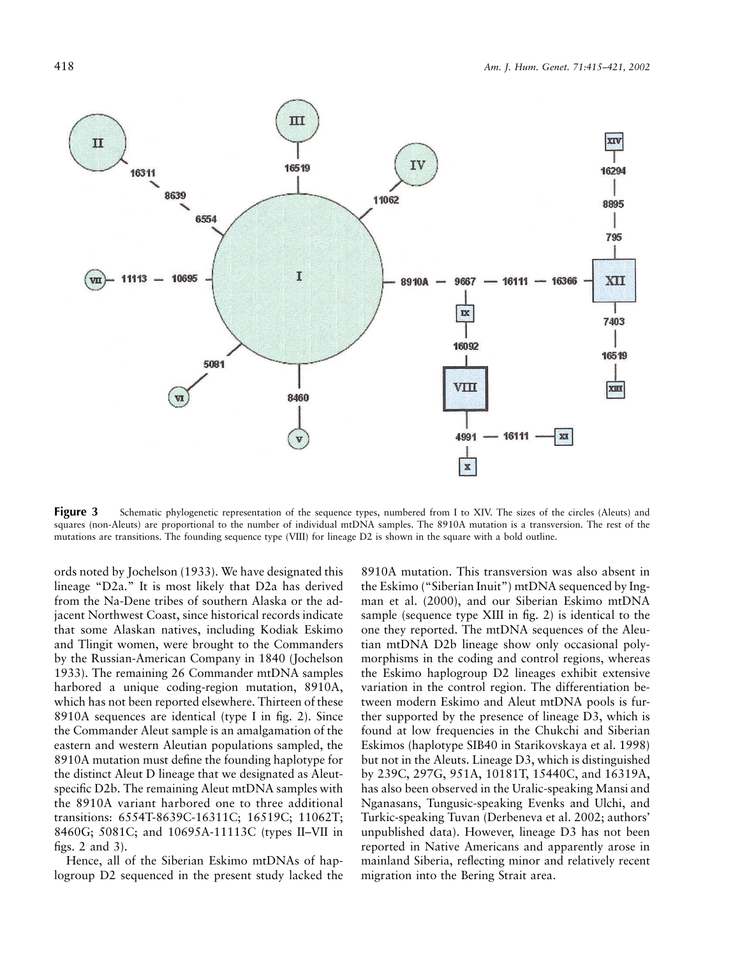

**Figure 3** Schematic phylogenetic representation of the sequence types, numbered from I to XIV. The sizes of the circles (Aleuts) and squares (non-Aleuts) are proportional to the number of individual mtDNA samples. The 8910A mutation is a transversion. The rest of the mutations are transitions. The founding sequence type (VIII) for lineage D2 is shown in the square with a bold outline.

ords noted by Jochelson (1933). We have designated this lineage "D2a." It is most likely that D2a has derived from the Na-Dene tribes of southern Alaska or the adjacent Northwest Coast, since historical records indicate that some Alaskan natives, including Kodiak Eskimo and Tlingit women, were brought to the Commanders by the Russian-American Company in 1840 (Jochelson 1933). The remaining 26 Commander mtDNA samples harbored a unique coding-region mutation, 8910A, which has not been reported elsewhere. Thirteen of these 8910A sequences are identical (type I in fig. 2). Since the Commander Aleut sample is an amalgamation of the eastern and western Aleutian populations sampled, the 8910A mutation must define the founding haplotype for the distinct Aleut D lineage that we designated as Aleutspecific D2b. The remaining Aleut mtDNA samples with the 8910A variant harbored one to three additional transitions: 6554T-8639C-16311C; 16519C; 11062T; 8460G; 5081C; and 10695A-11113C (types II–VII in figs. 2 and 3).

Hence, all of the Siberian Eskimo mtDNAs of haplogroup D2 sequenced in the present study lacked the 8910A mutation. This transversion was also absent in the Eskimo ("Siberian Inuit") mtDNA sequenced by Ingman et al. (2000), and our Siberian Eskimo mtDNA sample (sequence type XIII in fig. 2) is identical to the one they reported. The mtDNA sequences of the Aleutian mtDNA D2b lineage show only occasional polymorphisms in the coding and control regions, whereas the Eskimo haplogroup D2 lineages exhibit extensive variation in the control region. The differentiation between modern Eskimo and Aleut mtDNA pools is further supported by the presence of lineage D3, which is found at low frequencies in the Chukchi and Siberian Eskimos (haplotype SIB40 in Starikovskaya et al. 1998) but not in the Aleuts. Lineage D3, which is distinguished by 239C, 297G, 951A, 10181T, 15440C, and 16319A, has also been observed in the Uralic-speaking Mansi and Nganasans, Tungusic-speaking Evenks and Ulchi, and Turkic-speaking Tuvan (Derbeneva et al. 2002; authors' unpublished data). However, lineage D3 has not been reported in Native Americans and apparently arose in mainland Siberia, reflecting minor and relatively recent migration into the Bering Strait area.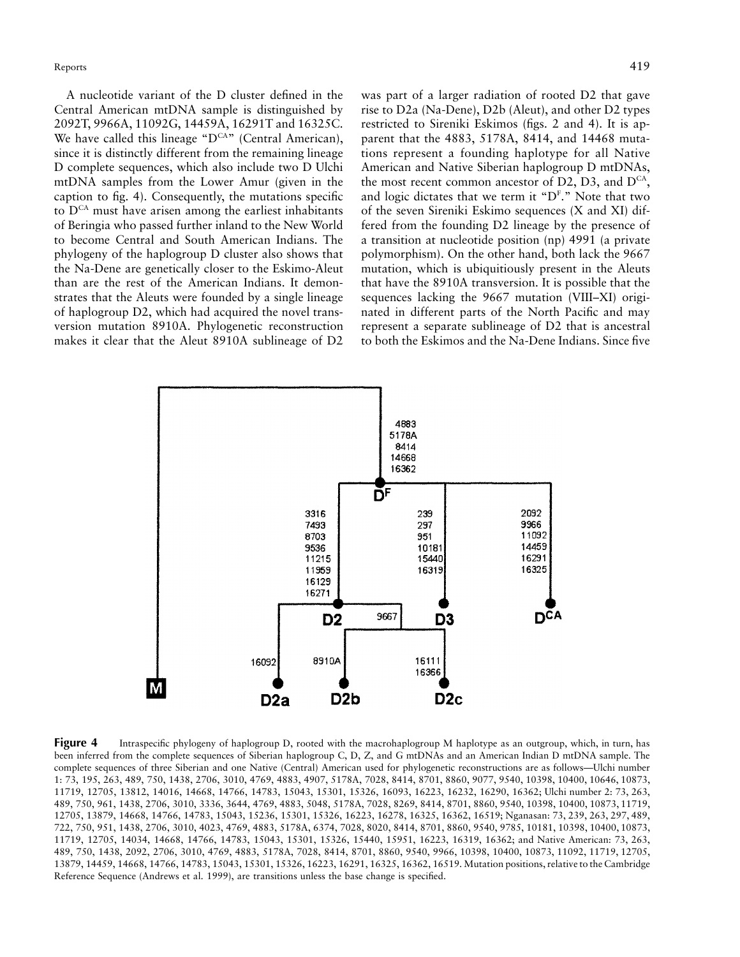A nucleotide variant of the D cluster defined in the Central American mtDNA sample is distinguished by 2092T, 9966A, 11092G, 14459A, 16291T and 16325C. We have called this lineage " $D^{CA}$ " (Central American), since it is distinctly different from the remaining lineage D complete sequences, which also include two D Ulchi mtDNA samples from the Lower Amur (given in the caption to fig. 4). Consequently, the mutations specific to  $D^{CA}$  must have arisen among the earliest inhabitants of Beringia who passed further inland to the New World to become Central and South American Indians. The phylogeny of the haplogroup D cluster also shows that the Na-Dene are genetically closer to the Eskimo-Aleut than are the rest of the American Indians. It demonstrates that the Aleuts were founded by a single lineage of haplogroup D2, which had acquired the novel transversion mutation 8910A. Phylogenetic reconstruction makes it clear that the Aleut 8910A sublineage of D2

was part of a larger radiation of rooted D2 that gave rise to D2a (Na-Dene), D2b (Aleut), and other D2 types restricted to Sireniki Eskimos (figs. 2 and 4). It is apparent that the 4883, 5178A, 8414, and 14468 mutations represent a founding haplotype for all Native American and Native Siberian haplogroup D mtDNAs, the most recent common ancestor of D2, D3, and  $D^{CA}$ , and logic dictates that we term it " $D<sup>F</sup>$ ." Note that two of the seven Sireniki Eskimo sequences (X and XI) differed from the founding D2 lineage by the presence of a transition at nucleotide position (np) 4991 (a private polymorphism). On the other hand, both lack the 9667 mutation, which is ubiquitiously present in the Aleuts that have the 8910A transversion. It is possible that the sequences lacking the 9667 mutation (VIII–XI) originated in different parts of the North Pacific and may represent a separate sublineage of D2 that is ancestral to both the Eskimos and the Na-Dene Indians. Since five



**Figure 4** Intraspecific phylogeny of haplogroup D, rooted with the macrohaplogroup M haplotype as an outgroup, which, in turn, has been inferred from the complete sequences of Siberian haplogroup C, D, Z, and G mtDNAs and an American Indian D mtDNA sample. The complete sequences of three Siberian and one Native (Central) American used for phylogenetic reconstructions are as follows—Ulchi number 1: 73, 195, 263, 489, 750, 1438, 2706, 3010, 4769, 4883, 4907, 5178A, 7028, 8414, 8701, 8860, 9077, 9540, 10398, 10400, 10646, 10873, 11719, 12705, 13812, 14016, 14668, 14766, 14783, 15043, 15301, 15326, 16093, 16223, 16232, 16290, 16362; Ulchi number 2: 73, 263, 489, 750, 961, 1438, 2706, 3010, 3336, 3644, 4769, 4883, 5048, 5178A, 7028, 8269, 8414, 8701, 8860, 9540, 10398, 10400, 10873, 11719, 12705, 13879, 14668, 14766, 14783, 15043, 15236, 15301, 15326, 16223, 16278, 16325, 16362, 16519; Nganasan: 73, 239, 263, 297, 489, 722, 750, 951, 1438, 2706, 3010, 4023, 4769, 4883, 5178A, 6374, 7028, 8020, 8414, 8701, 8860, 9540, 9785, 10181, 10398, 10400, 10873, 11719, 12705, 14034, 14668, 14766, 14783, 15043, 15301, 15326, 15440, 15951, 16223, 16319, 16362; and Native American: 73, 263, 489, 750, 1438, 2092, 2706, 3010, 4769, 4883, 5178A, 7028, 8414, 8701, 8860, 9540, 9966, 10398, 10400, 10873, 11092, 11719, 12705, 13879, 14459, 14668, 14766, 14783, 15043, 15301, 15326, 16223, 16291, 16325, 16362, 16519. Mutation positions, relative to the Cambridge Reference Sequence (Andrews et al. 1999), are transitions unless the base change is specified.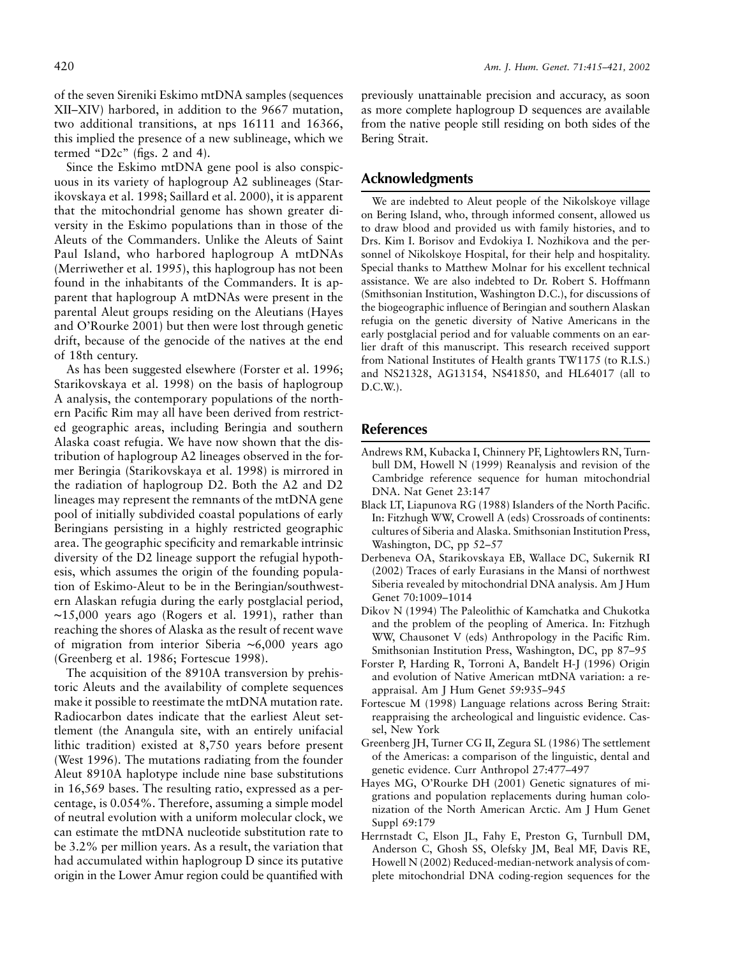of the seven Sireniki Eskimo mtDNA samples (sequences XII–XIV) harbored, in addition to the 9667 mutation, two additional transitions, at nps 16111 and 16366, this implied the presence of a new sublineage, which we termed "D2c" (figs. 2 and 4).

Since the Eskimo mtDNA gene pool is also conspicuous in its variety of haplogroup A2 sublineages (Starikovskaya et al. 1998; Saillard et al. 2000), it is apparent that the mitochondrial genome has shown greater diversity in the Eskimo populations than in those of the Aleuts of the Commanders. Unlike the Aleuts of Saint Paul Island, who harbored haplogroup A mtDNAs (Merriwether et al. 1995), this haplogroup has not been found in the inhabitants of the Commanders. It is apparent that haplogroup A mtDNAs were present in the parental Aleut groups residing on the Aleutians (Hayes and O'Rourke 2001) but then were lost through genetic drift, because of the genocide of the natives at the end of 18th century.

As has been suggested elsewhere (Forster et al. 1996; Starikovskaya et al. 1998) on the basis of haplogroup A analysis, the contemporary populations of the northern Pacific Rim may all have been derived from restricted geographic areas, including Beringia and southern Alaska coast refugia. We have now shown that the distribution of haplogroup A2 lineages observed in the former Beringia (Starikovskaya et al. 1998) is mirrored in the radiation of haplogroup D2. Both the A2 and D2 lineages may represent the remnants of the mtDNA gene pool of initially subdivided coastal populations of early Beringians persisting in a highly restricted geographic area. The geographic specificity and remarkable intrinsic diversity of the D2 lineage support the refugial hypothesis, which assumes the origin of the founding population of Eskimo-Aleut to be in the Beringian/southwestern Alaskan refugia during the early postglacial period, ∼15,000 years ago (Rogers et al. 1991), rather than reaching the shores of Alaska as the result of recent wave of migration from interior Siberia ∼6,000 years ago (Greenberg et al. 1986; Fortescue 1998).

The acquisition of the 8910A transversion by prehistoric Aleuts and the availability of complete sequences make it possible to reestimate the mtDNA mutation rate. Radiocarbon dates indicate that the earliest Aleut settlement (the Anangula site, with an entirely unifacial lithic tradition) existed at 8,750 years before present (West 1996). The mutations radiating from the founder Aleut 8910A haplotype include nine base substitutions in 16,569 bases. The resulting ratio, expressed as a percentage, is 0.054%. Therefore, assuming a simple model of neutral evolution with a uniform molecular clock, we can estimate the mtDNA nucleotide substitution rate to be 3.2% per million years. As a result, the variation that had accumulated within haplogroup D since its putative origin in the Lower Amur region could be quantified with

previously unattainable precision and accuracy, as soon as more complete haplogroup D sequences are available from the native people still residing on both sides of the Bering Strait.

## **Acknowledgments**

We are indebted to Aleut people of the Nikolskoye village on Bering Island, who, through informed consent, allowed us to draw blood and provided us with family histories, and to Drs. Kim I. Borisov and Evdokiya I. Nozhikova and the personnel of Nikolskoye Hospital, for their help and hospitality. Special thanks to Matthew Molnar for his excellent technical assistance. We are also indebted to Dr. Robert S. Hoffmann (Smithsonian Institution, Washington D.C.), for discussions of the biogeographic influence of Beringian and southern Alaskan refugia on the genetic diversity of Native Americans in the early postglacial period and for valuable comments on an earlier draft of this manuscript. This research received support from National Institutes of Health grants TW1175 (to R.I.S.) and NS21328, AG13154, NS41850, and HL64017 (all to D.C.W.).

## **References**

- Andrews RM, Kubacka I, Chinnery PF, Lightowlers RN, Turnbull DM, Howell N (1999) Reanalysis and revision of the Cambridge reference sequence for human mitochondrial DNA. Nat Genet 23:147
- Black LT, Liapunova RG (1988) Islanders of the North Pacific. In: Fitzhugh WW, Crowell A (eds) Crossroads of continents: cultures of Siberia and Alaska. Smithsonian Institution Press, Washington, DC, pp 52–57
- Derbeneva OA, Starikovskaya EB, Wallace DC, Sukernik RI (2002) Traces of early Eurasians in the Mansi of northwest Siberia revealed by mitochondrial DNA analysis. Am J Hum Genet 70:1009–1014
- Dikov N (1994) The Paleolithic of Kamchatka and Chukotka and the problem of the peopling of America. In: Fitzhugh WW, Chausonet V (eds) Anthropology in the Pacific Rim. Smithsonian Institution Press, Washington, DC, pp 87–95
- Forster P, Harding R, Torroni A, Bandelt H-J (1996) Origin and evolution of Native American mtDNA variation: a reappraisal. Am J Hum Genet 59:935–945
- Fortescue M (1998) Language relations across Bering Strait: reappraising the archeological and linguistic evidence. Cassel, New York
- Greenberg JH, Turner CG II, Zegura SL (1986) The settlement of the Americas: a comparison of the linguistic, dental and genetic evidence. Curr Anthropol 27:477–497
- Hayes MG, O'Rourke DH (2001) Genetic signatures of migrations and population replacements during human colonization of the North American Arctic. Am J Hum Genet Suppl 69:179
- Herrnstadt C, Elson JL, Fahy E, Preston G, Turnbull DM, Anderson C, Ghosh SS, Olefsky JM, Beal MF, Davis RE, Howell N (2002) Reduced-median-network analysis of complete mitochondrial DNA coding-region sequences for the